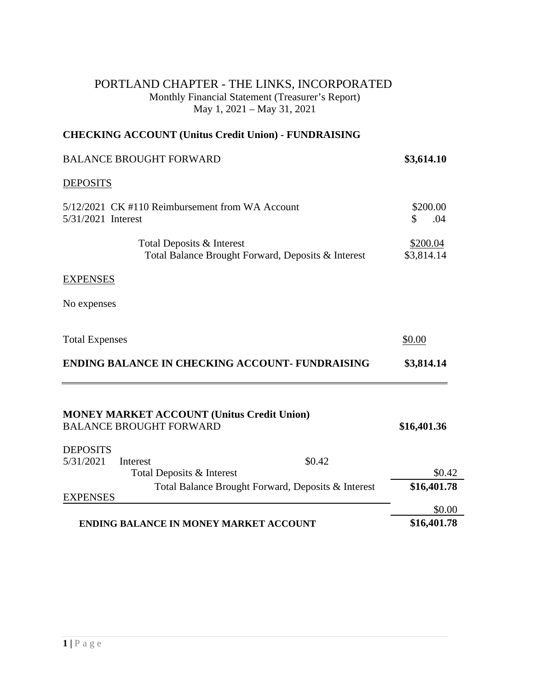## PORTLAND CHAPTER - THE LINKS, INCORPORATED Monthly Financial Statement (Treasurer's Report) May 1, 2021 – May 31, 2021

## **CHECKING ACCOUNT (Unitus Credit Union) - FUNDRAISING**

| <b>BALANCE BROUGHT FORWARD</b>                                                      | \$3,614.10                  |
|-------------------------------------------------------------------------------------|-----------------------------|
| <b>DEPOSITS</b>                                                                     |                             |
| 5/12/2021 CK #110 Reimbursement from WA Account<br>5/31/2021 Interest               | \$200.00<br>.04<br><b>S</b> |
| Total Deposits & Interest<br>Total Balance Brought Forward, Deposits & Interest     | \$200.04<br>\$3,814.14      |
| <b>EXPENSES</b>                                                                     |                             |
| No expenses                                                                         |                             |
| <b>Total Expenses</b>                                                               | \$0.00                      |
| <b>ENDING BALANCE IN CHECKING ACCOUNT- FUNDRAISING</b>                              | \$3,814.14                  |
| <b>MONEY MARKET ACCOUNT (Unitus Credit Union)</b><br><b>BALANCE BROUGHT FORWARD</b> | \$16,401.36                 |
| <b>DEPOSITS</b>                                                                     |                             |
| 5/31/2021<br>\$0.42<br>Interest                                                     | \$0.42                      |
| Total Deposits & Interest<br>Total Balance Brought Forward, Deposits & Interest     | \$16,401.78                 |
| <b>EXPENSES</b>                                                                     |                             |
|                                                                                     | \$0.00                      |
| <b>ENDING BALANCE IN MONEY MARKET ACCOUNT</b>                                       | \$16,401.78                 |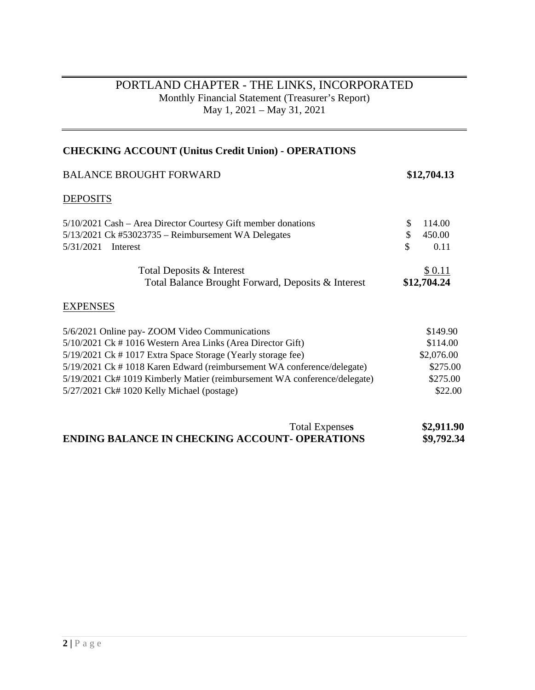## PORTLAND CHAPTER - THE LINKS, INCORPORATED Monthly Financial Statement (Treasurer's Report) May 1, 2021 – May 31, 2021

| <b>CHECKING ACCOUNT (Unitus Credit Union) - OPERATIONS</b>                |               |
|---------------------------------------------------------------------------|---------------|
| <b>BALANCE BROUGHT FORWARD</b>                                            | \$12,704.13   |
| <b>DEPOSITS</b>                                                           |               |
| 5/10/2021 Cash – Area Director Courtesy Gift member donations             | \$<br>114.00  |
| 5/13/2021 Ck #53023735 – Reimbursement WA Delegates                       | \$<br>450.00  |
| 5/31/2021<br>Interest                                                     | \$<br>0.11    |
| Total Deposits & Interest                                                 | <u>\$0.11</u> |
| Total Balance Brought Forward, Deposits & Interest                        | \$12,704.24   |
| <b>EXPENSES</b>                                                           |               |
| 5/6/2021 Online pay-ZOOM Video Communications                             | \$149.90      |
| 5/10/2021 Ck # 1016 Western Area Links (Area Director Gift)               | \$114.00      |
| 5/19/2021 Ck # 1017 Extra Space Storage (Yearly storage fee)              | \$2,076.00    |
| 5/19/2021 Ck # 1018 Karen Edward (reimbursement WA conference/delegate)   | \$275.00      |
| 5/19/2021 Ck# 1019 Kimberly Matier (reimbursement WA conference/delegate) | \$275.00      |
| 5/27/2021 Ck# 1020 Kelly Michael (postage)                                | \$22.00       |

| <b>Total Expenses</b>                                 | \$2,911.90 |
|-------------------------------------------------------|------------|
| <b>ENDING BALANCE IN CHECKING ACCOUNT- OPERATIONS</b> | \$9,792.34 |